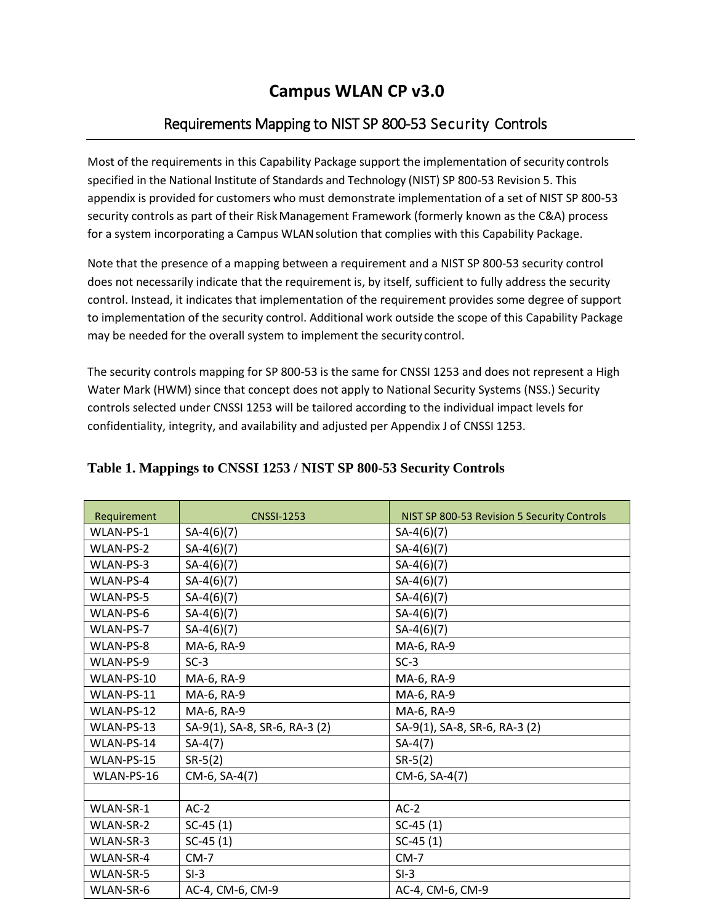## **Campus WLAN CP v3.0**

## Requirements Mapping to NIST SP 800-53 Security Controls

Most of the requirements in this Capability Package support the implementation of security controls specified in the National Institute of Standards and Technology (NIST) SP 800-53 Revision 5. This appendix is provided for customers who must demonstrate implementation of a set of NIST SP 800-53 security controls as part of their RiskManagement Framework (formerly known as the C&A) process for a system incorporating a Campus WLAN solution that complies with this Capability Package.

Note that the presence of a mapping between a requirement and a NIST SP 800-53 security control does not necessarily indicate that the requirement is, by itself, sufficient to fully address the security control. Instead, it indicates that implementation of the requirement provides some degree of support to implementation of the security control. Additional work outside the scope of this Capability Package may be needed for the overall system to implement the security control.

The security controls mapping for SP 800-53 is the same for CNSSI 1253 and does not represent a High Water Mark (HWM) since that concept does not apply to National Security Systems (NSS.) Security controls selected under CNSSI 1253 will be tailored according to the individual impact levels for confidentiality, integrity, and availability and adjusted per Appendix J of CNSSI 1253.

| Requirement | <b>CNSSI-1253</b>             | NIST SP 800-53 Revision 5 Security Controls |
|-------------|-------------------------------|---------------------------------------------|
| WLAN-PS-1   | $SA-4(6)(7)$                  | $SA-4(6)(7)$                                |
| WLAN-PS-2   | $SA-4(6)(7)$                  | $SA-4(6)(7)$                                |
| WLAN-PS-3   | $SA-4(6)(7)$                  | $SA-4(6)(7)$                                |
| WLAN-PS-4   | $SA-4(6)(7)$                  | $SA-4(6)(7)$                                |
| WLAN-PS-5   | $SA-4(6)(7)$                  | $SA-4(6)(7)$                                |
| WLAN-PS-6   | $SA-4(6)(7)$                  | $SA-4(6)(7)$                                |
| WLAN-PS-7   | $SA-4(6)(7)$                  | $SA-4(6)(7)$                                |
| WLAN-PS-8   | MA-6, RA-9                    | MA-6, RA-9                                  |
| WLAN-PS-9   | $SC-3$                        | $SC-3$                                      |
| WLAN-PS-10  | MA-6, RA-9                    | MA-6, RA-9                                  |
| WLAN-PS-11  | MA-6, RA-9                    | MA-6, RA-9                                  |
| WLAN-PS-12  | MA-6, RA-9                    | MA-6, RA-9                                  |
| WLAN-PS-13  | SA-9(1), SA-8, SR-6, RA-3 (2) | SA-9(1), SA-8, SR-6, RA-3 (2)               |
| WLAN-PS-14  | $SA-4(7)$                     | $SA-4(7)$                                   |
| WLAN-PS-15  | $SR-5(2)$                     | $SR-5(2)$                                   |
| WLAN-PS-16  | CM-6, SA-4(7)                 | CM-6, SA-4(7)                               |
|             |                               |                                             |
| WLAN-SR-1   | $AC-2$                        | $AC-2$                                      |
| WLAN-SR-2   | $SC-45(1)$                    | $SC-45(1)$                                  |
| WLAN-SR-3   | $SC-45(1)$                    | $SC-45(1)$                                  |
| WLAN-SR-4   | $CM-7$                        | $CM-7$                                      |
| WLAN-SR-5   | $SI-3$                        | $SI-3$                                      |
| WLAN-SR-6   | AC-4, CM-6, CM-9              | AC-4, CM-6, CM-9                            |

## **Table 1. Mappings to CNSSI 1253 / NIST SP 800-53 Security Controls**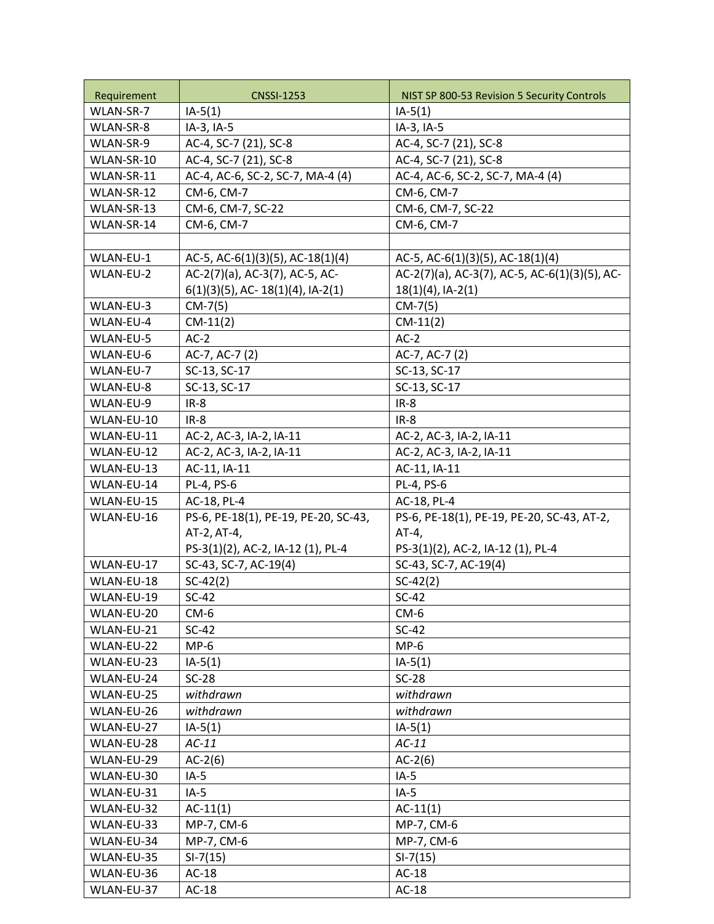| Requirement | <b>CNSSI-1253</b>                    | NIST SP 800-53 Revision 5 Security Controls   |
|-------------|--------------------------------------|-----------------------------------------------|
| WLAN-SR-7   | $IA-5(1)$                            | $IA-5(1)$                                     |
| WLAN-SR-8   | IA-3, IA-5                           | IA-3, IA-5                                    |
| WLAN-SR-9   | AC-4, SC-7 (21), SC-8                | AC-4, SC-7 (21), SC-8                         |
| WLAN-SR-10  | AC-4, SC-7 (21), SC-8                | AC-4, SC-7 (21), SC-8                         |
| WLAN-SR-11  | AC-4, AC-6, SC-2, SC-7, MA-4 (4)     | AC-4, AC-6, SC-2, SC-7, MA-4 (4)              |
| WLAN-SR-12  | CM-6, CM-7                           | CM-6, CM-7                                    |
| WLAN-SR-13  | CM-6, CM-7, SC-22                    | CM-6, CM-7, SC-22                             |
| WLAN-SR-14  | CM-6, CM-7                           | CM-6, CM-7                                    |
|             |                                      |                                               |
| WLAN-EU-1   | AC-5, AC-6(1)(3)(5), AC-18(1)(4)     | AC-5, AC-6(1)(3)(5), AC-18(1)(4)              |
| WLAN-EU-2   | AC-2(7)(a), AC-3(7), AC-5, AC-       | AC-2(7)(a), AC-3(7), AC-5, AC-6(1)(3)(5), AC- |
|             | $6(1)(3)(5)$ , AC- 18(1)(4), IA-2(1) | $18(1)(4)$ , IA-2(1)                          |
| WLAN-EU-3   | $CM-7(5)$                            | $CM-7(5)$                                     |
| WLAN-EU-4   | $CM-11(2)$                           | $CM-11(2)$                                    |
| WLAN-EU-5   | $AC-2$                               | $AC-2$                                        |
| WLAN-EU-6   | AC-7, AC-7 (2)                       | AC-7, AC-7 (2)                                |
| WLAN-EU-7   | SC-13, SC-17                         | SC-13, SC-17                                  |
| WLAN-EU-8   | SC-13, SC-17                         | SC-13, SC-17                                  |
| WLAN-EU-9   | $IR-8$                               | $IR-8$                                        |
| WLAN-EU-10  | $IR-8$                               | $IR-8$                                        |
| WLAN-EU-11  | AC-2, AC-3, IA-2, IA-11              | AC-2, AC-3, IA-2, IA-11                       |
| WLAN-EU-12  | AC-2, AC-3, IA-2, IA-11              | AC-2, AC-3, IA-2, IA-11                       |
| WLAN-EU-13  | AC-11, IA-11                         | AC-11, IA-11                                  |
| WLAN-EU-14  | PL-4, PS-6                           | PL-4, PS-6                                    |
| WLAN-EU-15  | AC-18, PL-4                          | AC-18, PL-4                                   |
| WLAN-EU-16  | PS-6, PE-18(1), PE-19, PE-20, SC-43, | PS-6, PE-18(1), PE-19, PE-20, SC-43, AT-2,    |
|             | AT-2, AT-4,                          | $AT-4,$                                       |
|             | PS-3(1)(2), AC-2, IA-12 (1), PL-4    | PS-3(1)(2), AC-2, IA-12 (1), PL-4             |
| WLAN-EU-17  | SC-43, SC-7, AC-19(4)                | SC-43, SC-7, AC-19(4)                         |
| WLAN-EU-18  | $SC-42(2)$                           | $SC-42(2)$                                    |
| WLAN-EU-19  | $SC-42$                              | $SC-42$                                       |
| WLAN-EU-20  | $CM-6$                               | $CM-6$                                        |
| WLAN-EU-21  | $SC-42$                              | $SC-42$                                       |
| WLAN-EU-22  | $MP-6$                               | $MP-6$                                        |
| WLAN-EU-23  | $IA-5(1)$                            | $IA-5(1)$                                     |
| WLAN-EU-24  | $SC-28$                              | $SC-28$                                       |
| WLAN-EU-25  | withdrawn                            | withdrawn                                     |
| WLAN-EU-26  | withdrawn                            | withdrawn                                     |
| WLAN-EU-27  | $IA-5(1)$                            | $IA-5(1)$                                     |
| WLAN-EU-28  | $AC-11$                              | $AC-11$                                       |
| WLAN-EU-29  | $AC-2(6)$                            | $AC-2(6)$                                     |
| WLAN-EU-30  | $IA-5$                               | $IA-5$                                        |
| WLAN-EU-31  | $IA-5$                               | $IA-5$                                        |
| WLAN-EU-32  | $AC-11(1)$                           | $AC-11(1)$                                    |
| WLAN-EU-33  | MP-7, CM-6                           | MP-7, CM-6                                    |
| WLAN-EU-34  | MP-7, CM-6                           | MP-7, CM-6                                    |
| WLAN-EU-35  | $SI-7(15)$                           | $SI-7(15)$                                    |
| WLAN-EU-36  | $AC-18$                              | $AC-18$                                       |
| WLAN-EU-37  | $AC-18$                              | $AC-18$                                       |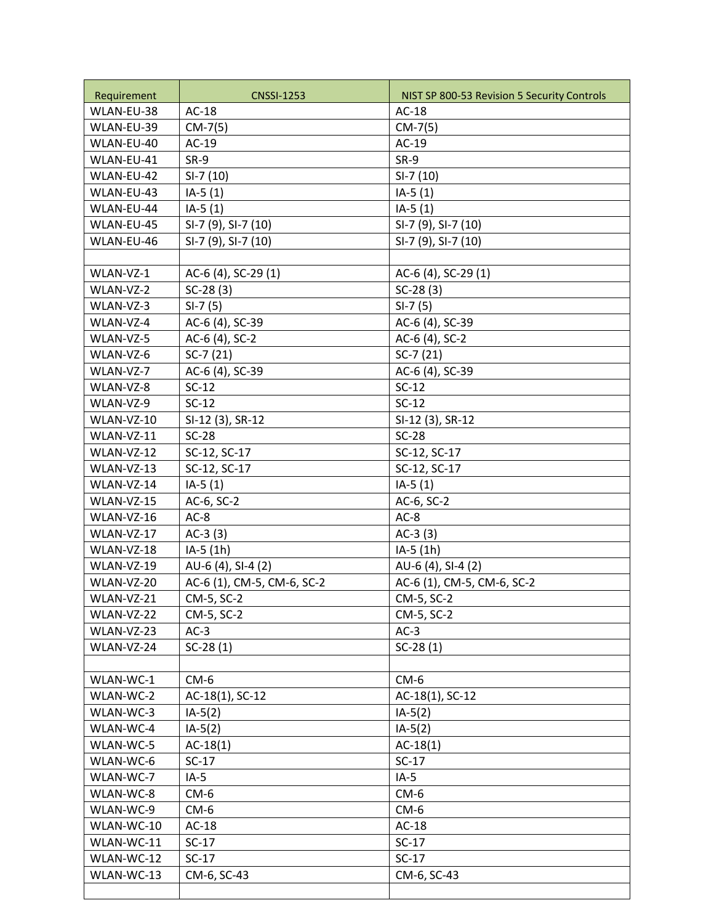| Requirement | <b>CNSSI-1253</b>          | NIST SP 800-53 Revision 5 Security Controls |
|-------------|----------------------------|---------------------------------------------|
| WLAN-EU-38  | $AC-18$                    | $AC-18$                                     |
| WLAN-EU-39  | $CM-7(5)$                  | $CM-7(5)$                                   |
| WLAN-EU-40  | $AC-19$                    | $AC-19$                                     |
| WLAN-EU-41  | $SR-9$                     | $SR-9$                                      |
| WLAN-EU-42  | $SI-7(10)$                 | $SI-7(10)$                                  |
| WLAN-EU-43  | $IA-5(1)$                  | $IA-5(1)$                                   |
| WLAN-EU-44  | $IA-5(1)$                  | $IA-5(1)$                                   |
| WLAN-EU-45  | SI-7 (9), SI-7 (10)        | SI-7 (9), SI-7 (10)                         |
| WLAN-EU-46  | SI-7 (9), SI-7 (10)        | SI-7 (9), SI-7 (10)                         |
|             |                            |                                             |
| WLAN-VZ-1   | AC-6 (4), SC-29 (1)        | AC-6 (4), SC-29 (1)                         |
| WLAN-VZ-2   | $SC-28(3)$                 | $SC-28(3)$                                  |
| WLAN-VZ-3   | $SI-7(5)$                  | $SI-7(5)$                                   |
| WLAN-VZ-4   | AC-6 (4), SC-39            | AC-6 (4), SC-39                             |
| WLAN-VZ-5   | AC-6 (4), SC-2             | AC-6 (4), SC-2                              |
| WLAN-VZ-6   | $SC-7(21)$                 | $SC-7(21)$                                  |
| WLAN-VZ-7   | AC-6 (4), SC-39            | AC-6 (4), SC-39                             |
| WLAN-VZ-8   | $SC-12$                    | $SC-12$                                     |
| WLAN-VZ-9   | $SC-12$                    | $SC-12$                                     |
| WLAN-VZ-10  | SI-12 (3), SR-12           | SI-12 (3), SR-12                            |
| WLAN-VZ-11  | $SC-28$                    | $SC-28$                                     |
| WLAN-VZ-12  | SC-12, SC-17               | SC-12, SC-17                                |
| WLAN-VZ-13  | SC-12, SC-17               | SC-12, SC-17                                |
| WLAN-VZ-14  | $IA-5(1)$                  | $IA-5(1)$                                   |
| WLAN-VZ-15  | AC-6, SC-2                 | AC-6, SC-2                                  |
| WLAN-VZ-16  | $AC-8$                     | $AC-8$                                      |
| WLAN-VZ-17  | $AC-3(3)$                  | $AC-3(3)$                                   |
| WLAN-VZ-18  | IA-5 (1h)                  | IA-5 (1h)                                   |
| WLAN-VZ-19  | AU-6 (4), SI-4 (2)         | AU-6 (4), SI-4 (2)                          |
| WLAN-VZ-20  | AC-6 (1), CM-5, CM-6, SC-2 | AC-6 (1), CM-5, CM-6, SC-2                  |
| WLAN-VZ-21  | CM-5, SC-2                 | CM-5, SC-2                                  |
| WLAN-VZ-22  | CM-5, SC-2                 | CM-5, SC-2                                  |
| WLAN-VZ-23  | $AC-3$                     | $AC-3$                                      |
| WLAN-VZ-24  | $SC-28(1)$                 | $SC-28(1)$                                  |
|             |                            |                                             |
| WLAN-WC-1   | $CM-6$                     | $CM-6$                                      |
| WLAN-WC-2   | AC-18(1), SC-12            | AC-18(1), SC-12                             |
| WLAN-WC-3   | $IA-5(2)$                  | $IA-5(2)$                                   |
| WLAN-WC-4   | $IA-5(2)$                  | $IA-5(2)$                                   |
| WLAN-WC-5   | $AC-18(1)$                 | $AC-18(1)$                                  |
| WLAN-WC-6   | $SC-17$                    | $SC-17$                                     |
| WLAN-WC-7   | $IA-5$                     | $IA-5$                                      |
| WLAN-WC-8   | $CM-6$                     | $CM-6$                                      |
| WLAN-WC-9   | $CM-6$                     | $CM-6$                                      |
| WLAN-WC-10  | $AC-18$                    | $AC-18$                                     |
| WLAN-WC-11  | $SC-17$                    | $SC-17$                                     |
| WLAN-WC-12  | $SC-17$                    | $SC-17$                                     |
| WLAN-WC-13  | CM-6, SC-43                | CM-6, SC-43                                 |
|             |                            |                                             |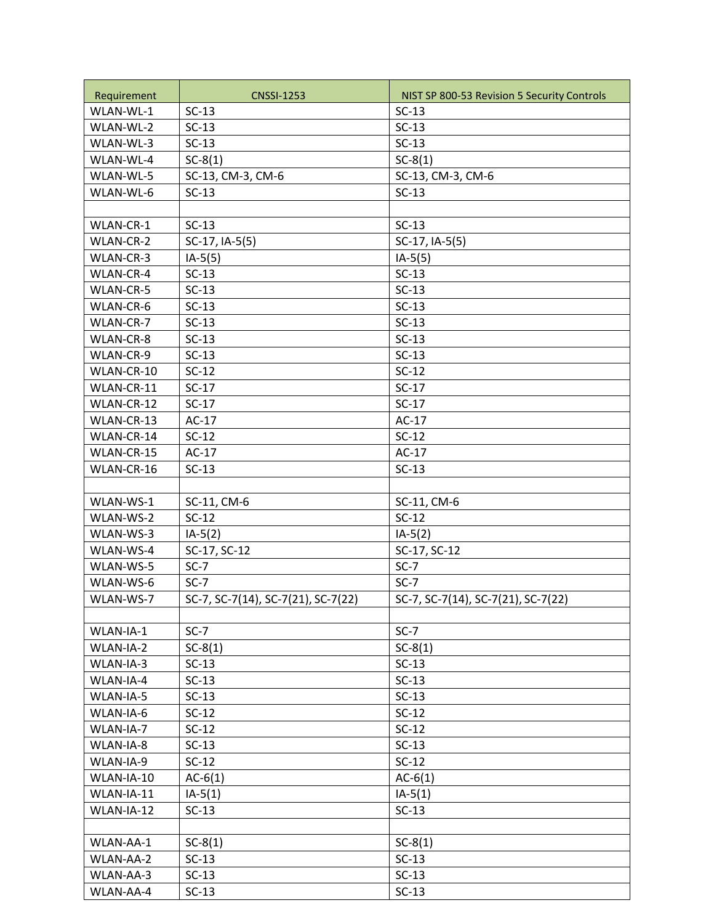| Requirement | <b>CNSSI-1253</b>                  | NIST SP 800-53 Revision 5 Security Controls |
|-------------|------------------------------------|---------------------------------------------|
| WLAN-WL-1   | $SC-13$                            | $SC-13$                                     |
| WLAN-WL-2   | $SC-13$                            | $SC-13$                                     |
| WLAN-WL-3   | $SC-13$                            | $SC-13$                                     |
| WLAN-WL-4   | $SC-8(1)$                          | $SC-8(1)$                                   |
| WLAN-WL-5   | SC-13, CM-3, CM-6                  | SC-13, CM-3, CM-6                           |
| WLAN-WL-6   | $SC-13$                            | $SC-13$                                     |
|             |                                    |                                             |
| WLAN-CR-1   | $SC-13$                            | $SC-13$                                     |
| WLAN-CR-2   | SC-17, IA-5(5)                     | SC-17, IA-5(5)                              |
| WLAN-CR-3   | $IA-5(5)$                          | $IA-5(5)$                                   |
| WLAN-CR-4   | $SC-13$                            | $SC-13$                                     |
| WLAN-CR-5   | $SC-13$                            | $SC-13$                                     |
| WLAN-CR-6   | $SC-13$                            | $SC-13$                                     |
| WLAN-CR-7   | $SC-13$                            | $SC-13$                                     |
| WLAN-CR-8   | $SC-13$                            | $SC-13$                                     |
| WLAN-CR-9   | $SC-13$                            | $SC-13$                                     |
| WLAN-CR-10  | $SC-12$                            | $SC-12$                                     |
| WLAN-CR-11  | $SC-17$                            | $SC-17$                                     |
| WLAN-CR-12  | $SC-17$                            | $SC-17$                                     |
| WLAN-CR-13  | $AC-17$                            | $AC-17$                                     |
| WLAN-CR-14  | $SC-12$                            | $SC-12$                                     |
| WLAN-CR-15  | $AC-17$                            | $AC-17$                                     |
| WLAN-CR-16  | $SC-13$                            | $SC-13$                                     |
|             |                                    |                                             |
| WLAN-WS-1   | SC-11, CM-6                        | SC-11, CM-6                                 |
| WLAN-WS-2   | $SC-12$                            | $SC-12$                                     |
| WLAN-WS-3   | $IA-5(2)$                          | $IA-5(2)$                                   |
| WLAN-WS-4   | SC-17, SC-12                       | SC-17, SC-12                                |
| WLAN-WS-5   | $SC-7$                             | $SC-7$                                      |
| WLAN-WS-6   | $SC-7$                             | $SC-7$                                      |
| WLAN-WS-7   | SC-7, SC-7(14), SC-7(21), SC-7(22) | SC-7, SC-7(14), SC-7(21), SC-7(22)          |
|             |                                    |                                             |
| WLAN-IA-1   | $SC-7$                             | $SC-7$                                      |
| WLAN-IA-2   | $SC-8(1)$                          | $SC-8(1)$                                   |
| WLAN-IA-3   | $SC-13$                            | $SC-13$                                     |
| WLAN-IA-4   | $SC-13$                            | $SC-13$                                     |
| WLAN-IA-5   | $SC-13$                            | $SC-13$                                     |
| WLAN-IA-6   | $SC-12$                            | $SC-12$                                     |
| WLAN-IA-7   | $SC-12$                            | $SC-12$                                     |
| WLAN-IA-8   | $SC-13$                            | $SC-13$                                     |
| WLAN-IA-9   | $SC-12$                            | $SC-12$                                     |
| WLAN-IA-10  | $AC-6(1)$                          | $AC-6(1)$                                   |
| WLAN-IA-11  | $IA-5(1)$                          | $IA-5(1)$                                   |
| WLAN-IA-12  | $SC-13$                            | $SC-13$                                     |
|             |                                    |                                             |
| WLAN-AA-1   | $SC-8(1)$                          | $SC-8(1)$                                   |
| WLAN-AA-2   | $SC-13$                            | $SC-13$                                     |
| WLAN-AA-3   | $SC-13$                            | $SC-13$                                     |
| WLAN-AA-4   | $SC-13$                            | $SC-13$                                     |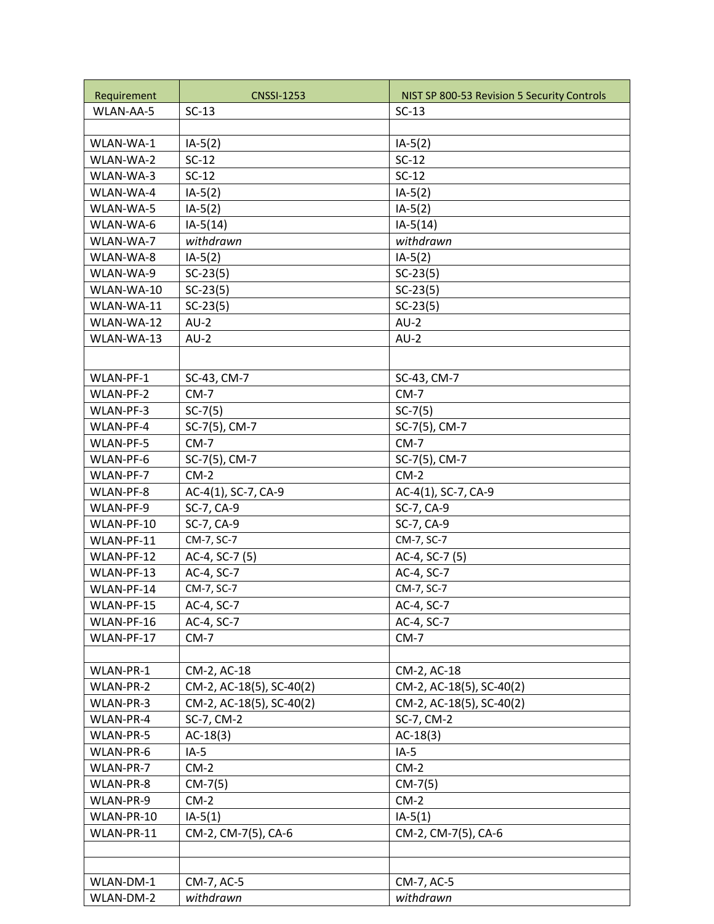| Requirement              | <b>CNSSI-1253</b>        | NIST SP 800-53 Revision 5 Security Controls |
|--------------------------|--------------------------|---------------------------------------------|
| WLAN-AA-5                | $SC-13$                  | $SC-13$                                     |
|                          |                          |                                             |
| WLAN-WA-1                | $IA-5(2)$                | $IA-5(2)$                                   |
| WLAN-WA-2                | $SC-12$                  | $SC-12$                                     |
| WLAN-WA-3                | $SC-12$                  | $SC-12$                                     |
| WLAN-WA-4                | $IA-5(2)$                | $IA-5(2)$                                   |
| WLAN-WA-5                | $IA-5(2)$                | $IA-5(2)$                                   |
| WLAN-WA-6                | $IA-5(14)$               | $IA-5(14)$                                  |
| WLAN-WA-7                | withdrawn                | withdrawn                                   |
| WLAN-WA-8                | $IA-5(2)$                | $IA-5(2)$                                   |
| WLAN-WA-9                | $SC-23(5)$               | $SC-23(5)$                                  |
| WLAN-WA-10               | $SC-23(5)$               | $SC-23(5)$                                  |
| WLAN-WA-11               | $SC-23(5)$               | $SC-23(5)$                                  |
| WLAN-WA-12               | $AU-2$                   | $AU-2$                                      |
| WLAN-WA-13               | $AU-2$                   | $AU-2$                                      |
|                          |                          |                                             |
|                          |                          |                                             |
| WLAN-PF-1                | SC-43, CM-7              | SC-43, CM-7                                 |
| WLAN-PF-2                | $CM-7$                   | $CM-7$                                      |
| WLAN-PF-3                | $SC-7(5)$                | $SC-7(5)$                                   |
| WLAN-PF-4                | SC-7(5), CM-7            | SC-7(5), CM-7                               |
| WLAN-PF-5                | $CM-7$                   | $CM-7$                                      |
| WLAN-PF-6                | SC-7(5), CM-7<br>$CM-2$  | SC-7(5), CM-7<br>$CM-2$                     |
| WLAN-PF-7                |                          |                                             |
| WLAN-PF-8                | AC-4(1), SC-7, CA-9      | AC-4(1), SC-7, CA-9                         |
| WLAN-PF-9<br>WLAN-PF-10  | SC-7, CA-9               | SC-7, CA-9                                  |
| WLAN-PF-11               | SC-7, CA-9<br>CM-7, SC-7 | SC-7, CA-9<br>CM-7, SC-7                    |
| WLAN-PF-12               | AC-4, SC-7 (5)           | AC-4, SC-7 (5)                              |
| WLAN-PF-13               | AC-4, SC-7               | AC-4, SC-7                                  |
| WLAN-PF-14               | CM-7, SC-7               | CM-7, SC-7                                  |
| WLAN-PF-15               | AC-4, SC-7               | AC-4, SC-7                                  |
|                          | AC-4, SC-7               | AC-4, SC-7                                  |
| WLAN-PF-16<br>WLAN-PF-17 | $CM-7$                   | $CM-7$                                      |
|                          |                          |                                             |
| WLAN-PR-1                | CM-2, AC-18              | CM-2, AC-18                                 |
| WLAN-PR-2                | CM-2, AC-18(5), SC-40(2) | CM-2, AC-18(5), SC-40(2)                    |
| WLAN-PR-3                | CM-2, AC-18(5), SC-40(2) | CM-2, AC-18(5), SC-40(2)                    |
| WLAN-PR-4                | SC-7, CM-2               | SC-7, CM-2                                  |
| WLAN-PR-5                | $AC-18(3)$               | $AC-18(3)$                                  |
| WLAN-PR-6                | $IA-5$                   | $IA-5$                                      |
| WLAN-PR-7                | $CM-2$                   | $CM-2$                                      |
| WLAN-PR-8                | $CM-7(5)$                | $CM-7(5)$                                   |
| WLAN-PR-9                | $CM-2$                   | $CM-2$                                      |
| WLAN-PR-10               | $IA-5(1)$                | $IA-5(1)$                                   |
| WLAN-PR-11               | CM-2, CM-7(5), CA-6      | CM-2, CM-7(5), CA-6                         |
|                          |                          |                                             |
|                          |                          |                                             |
| WLAN-DM-1                | CM-7, AC-5               | CM-7, AC-5                                  |
| WLAN-DM-2                | withdrawn                | withdrawn                                   |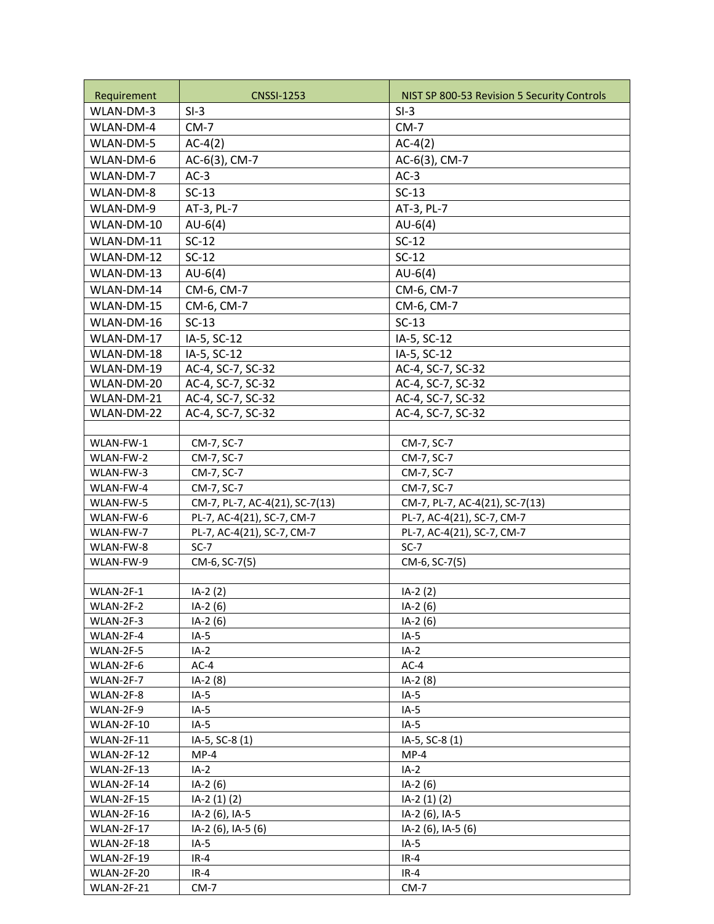| Requirement            | <b>CNSSI-1253</b>              | NIST SP 800-53 Revision 5 Security Controls |
|------------------------|--------------------------------|---------------------------------------------|
| WLAN-DM-3              | $SI-3$                         | $SI-3$                                      |
| WLAN-DM-4              | $CM-7$                         | $CM-7$                                      |
| WLAN-DM-5              | $AC-4(2)$                      | $AC-4(2)$                                   |
| WLAN-DM-6              | AC-6(3), CM-7                  | AC-6(3), CM-7                               |
| WLAN-DM-7              | $AC-3$                         | $AC-3$                                      |
| WLAN-DM-8              | $SC-13$                        | $SC-13$                                     |
| WLAN-DM-9              | AT-3, PL-7                     | AT-3, PL-7                                  |
| WLAN-DM-10             |                                |                                             |
|                        | $AU-6(4)$                      | $AU-6(4)$                                   |
| WLAN-DM-11             | $SC-12$                        | $SC-12$                                     |
| WLAN-DM-12             | $SC-12$                        | $SC-12$                                     |
| WLAN-DM-13             | $AU-6(4)$                      | $AU-6(4)$                                   |
| WLAN-DM-14             | CM-6, CM-7                     | CM-6, CM-7                                  |
| WLAN-DM-15             | CM-6, CM-7                     | CM-6, CM-7                                  |
| WLAN-DM-16             | $SC-13$                        | $SC-13$                                     |
| WLAN-DM-17             | IA-5, SC-12                    | IA-5, SC-12                                 |
| WLAN-DM-18             | IA-5, SC-12                    | IA-5, SC-12                                 |
| WLAN-DM-19             | AC-4, SC-7, SC-32              | AC-4, SC-7, SC-32                           |
| WLAN-DM-20             | AC-4, SC-7, SC-32              | AC-4, SC-7, SC-32                           |
| WLAN-DM-21             | AC-4, SC-7, SC-32              | AC-4, SC-7, SC-32                           |
| WLAN-DM-22             | AC-4, SC-7, SC-32              | AC-4, SC-7, SC-32                           |
|                        |                                |                                             |
| WLAN-FW-1              | CM-7, SC-7                     | CM-7, SC-7                                  |
| WLAN-FW-2              | CM-7, SC-7                     | CM-7, SC-7                                  |
| WLAN-FW-3              | CM-7, SC-7                     | CM-7, SC-7                                  |
| WLAN-FW-4              | CM-7, SC-7                     | CM-7, SC-7                                  |
| WLAN-FW-5              | CM-7, PL-7, AC-4(21), SC-7(13) | CM-7, PL-7, AC-4(21), SC-7(13)              |
| WLAN-FW-6              | PL-7, AC-4(21), SC-7, CM-7     | PL-7, AC-4(21), SC-7, CM-7                  |
| WLAN-FW-7              | PL-7, AC-4(21), SC-7, CM-7     | PL-7, AC-4(21), SC-7, CM-7                  |
| WLAN-FW-8              | $SC-7$                         | $SC-7$                                      |
| WLAN-FW-9              | CM-6, SC-7(5)                  | CM-6, SC-7(5)                               |
|                        |                                |                                             |
| WLAN-2F-1<br>WLAN-2F-2 | $IA-2(2)$<br>$IA-2(6)$         | $IA-2(2)$                                   |
| WLAN-2F-3              | $IA-2(6)$                      | IA-2 (6)<br>IA-2 (6)                        |
| WLAN-2F-4              | $IA-5$                         | $IA-5$                                      |
| WLAN-2F-5              | $IA-2$                         | $IA-2$                                      |
| WLAN-2F-6              | $AC-4$                         | $AC-4$                                      |
| WLAN-2F-7              | $IA-2(8)$                      | $IA-2(8)$                                   |
| WLAN-2F-8              | $IA-5$                         | $IA-5$                                      |
| WLAN-2F-9              | $IA-5$                         | $IA-5$                                      |
| WLAN-2F-10             | $IA-5$                         | $IA-5$                                      |
| WLAN-2F-11             | IA-5, SC-8 (1)                 | IA-5, SC-8 (1)                              |
| WLAN-2F-12             | $MP-4$                         | $MP-4$                                      |
| WLAN-2F-13             | $IA-2$                         | $IA-2$                                      |
| WLAN-2F-14             | $IA-2(6)$                      | IA-2 (6)                                    |
| <b>WLAN-2F-15</b>      | $IA-2(1)(2)$                   | $IA-2(1)(2)$                                |
| <b>WLAN-2F-16</b>      | IA-2 (6), IA-5                 | IA-2 (6), IA-5                              |
| WLAN-2F-17             | IA-2 (6), IA-5 (6)             | IA-2 (6), IA-5 (6)                          |
| WLAN-2F-18             | $IA-5$                         | $IA-5$                                      |
| WLAN-2F-19             | $IR-4$                         | $IR-4$                                      |
| <b>WLAN-2F-20</b>      | $IR-4$                         | $IR-4$                                      |
| WLAN-2F-21             | $CM-7$                         | $CM-7$                                      |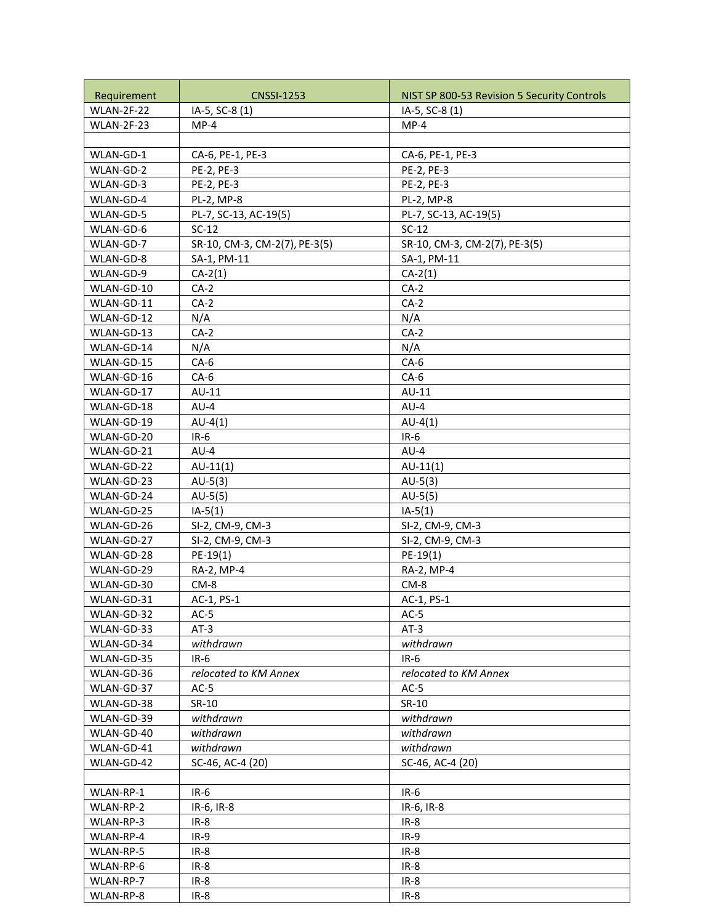|                           | <b>CNSSI-1253</b>                    |                                             |
|---------------------------|--------------------------------------|---------------------------------------------|
| Requirement<br>WLAN-2F-22 |                                      | NIST SP 800-53 Revision 5 Security Controls |
| WLAN-2F-23                | IA-5, SC-8 (1)<br>$MP-4$             | IA-5, SC-8 (1)<br>$MP-4$                    |
|                           |                                      |                                             |
| WLAN-GD-1                 |                                      | CA-6, PE-1, PE-3                            |
| WLAN-GD-2                 | CA-6, PE-1, PE-3<br>PE-2, PE-3       | PE-2, PE-3                                  |
| WLAN-GD-3                 | PE-2, PE-3                           | PE-2, PE-3                                  |
| WLAN-GD-4                 | PL-2, MP-8                           | PL-2, MP-8                                  |
| WLAN-GD-5                 |                                      |                                             |
|                           | PL-7, SC-13, AC-19(5)<br>$SC-12$     | PL-7, SC-13, AC-19(5)<br>$SC-12$            |
| WLAN-GD-6<br>WLAN-GD-7    | SR-10, CM-3, CM-2(7), PE-3(5)        | SR-10, CM-3, CM-2(7), PE-3(5)               |
| WLAN-GD-8                 | SA-1, PM-11                          | SA-1, PM-11                                 |
| WLAN-GD-9                 | $CA-2(1)$                            | $CA-2(1)$                                   |
| WLAN-GD-10                | $CA-2$                               | $CA-2$                                      |
| WLAN-GD-11                | $CA-2$                               | $CA-2$                                      |
| WLAN-GD-12                | N/A                                  |                                             |
| WLAN-GD-13                | $CA-2$                               | N/A<br>$CA-2$                               |
| WLAN-GD-14                | N/A                                  | N/A                                         |
| WLAN-GD-15                | $CA-6$                               | $CA-6$                                      |
| WLAN-GD-16                | $CA-6$                               | $CA-6$                                      |
| WLAN-GD-17                | AU-11                                | AU-11                                       |
| WLAN-GD-18                | $AU-4$                               | $AU-4$                                      |
| WLAN-GD-19                | $AU-4(1)$                            | $AU-4(1)$                                   |
|                           |                                      |                                             |
| WLAN-GD-20<br>WLAN-GD-21  | $IR-6$<br>$AU-4$                     | $IR-6$<br>$AU-4$                            |
| WLAN-GD-22                | $AU-11(1)$                           | $AU-11(1)$                                  |
| WLAN-GD-23                | $AU-5(3)$                            | $AU-5(3)$                                   |
| WLAN-GD-24                | $AU-5(5)$                            |                                             |
|                           |                                      | $AU-5(5)$<br>$IA-5(1)$                      |
| WLAN-GD-25                | $IA-5(1)$                            |                                             |
| WLAN-GD-26<br>WLAN-GD-27  | SI-2, CM-9, CM-3<br>SI-2, CM-9, CM-3 | SI-2, CM-9, CM-3<br>SI-2, CM-9, CM-3        |
| WLAN-GD-28                | $PE-19(1)$                           | $PE-19(1)$                                  |
| WLAN-GD-29                | RA-2, MP-4                           | RA-2, MP-4                                  |
| WLAN-GD-30                | $CM-8$                               | CM-8                                        |
| WLAN-GD-31                | AC-1, PS-1                           | AC-1, PS-1                                  |
| WLAN-GD-32                | $AC-5$                               | $AC-5$                                      |
| WLAN-GD-33                | $AT-3$                               | $AT-3$                                      |
| WLAN-GD-34                | withdrawn                            | withdrawn                                   |
| WLAN-GD-35                | $IR-6$                               | $IR-6$                                      |
| WLAN-GD-36                | relocated to KM Annex                | relocated to KM Annex                       |
| WLAN-GD-37                | $AC-5$                               | $AC-5$                                      |
| WLAN-GD-38                | SR-10                                | SR-10                                       |
| WLAN-GD-39                | withdrawn                            | withdrawn                                   |
| WLAN-GD-40                | withdrawn                            | withdrawn                                   |
| WLAN-GD-41                | withdrawn                            | withdrawn                                   |
| WLAN-GD-42                | SC-46, AC-4 (20)                     | SC-46, AC-4 (20)                            |
|                           |                                      |                                             |
| WLAN-RP-1                 | $IR-6$                               | $IR-6$                                      |
| WLAN-RP-2                 | IR-6, IR-8                           | IR-6, IR-8                                  |
| WLAN-RP-3                 | $IR-8$                               | $IR-8$                                      |
| WLAN-RP-4                 | $IR-9$                               | $IR-9$                                      |
| WLAN-RP-5                 | $IR-8$                               | $IR-8$                                      |
| WLAN-RP-6                 | $IR-8$                               | $IR-8$                                      |
| WLAN-RP-7                 | $IR-8$                               | $IR-8$                                      |
| WLAN-RP-8                 | $IR-8$                               | $IR-8$                                      |